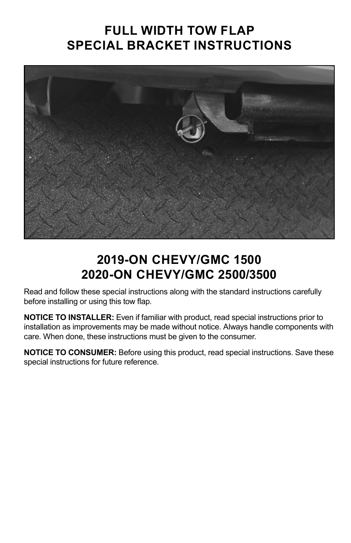## **FULL WIDTH TOW FLAP SPECIAL BRACKET INSTRUCTIONS**



## **2019-ON CHEVY/GMC 1500 2020-ON CHEVY/GMC 2500/3500**

Read and follow these special instructions along with the standard instructions carefully before installing or using this tow flap.

**NOTICE TO INSTALLER:** Even if familiar with product, read special instructions prior to installation as improvements may be made without notice. Always handle components with care. When done, these instructions must be given to the consumer.

**NOTICE TO CONSUMER:** Before using this product, read special instructions. Save these special instructions for future reference.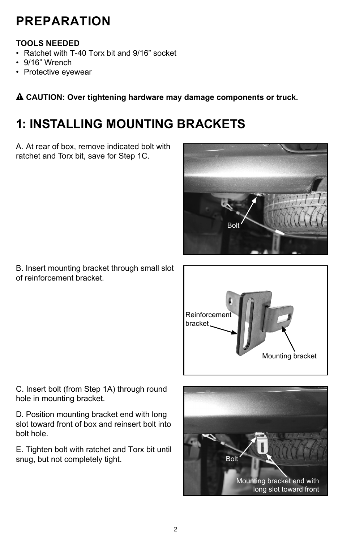## **PREPARATION**

#### **TOOLS NEEDED**

- Ratchet with T-40 Torx bit and 9/16" socket
- 9/16" Wrench
- Protective eyewear

! **CAUTION: Over tightening hardware may damage components or truck.**

# **1: INSTALLING MOUNTING BRACKETS**

A. At rear of box, remove indicated bolt with ratchet and Torx bit, save for Step 1C.



B. Insert mounting bracket through small slot of reinforcement bracket.



C. Insert bolt (from Step 1A) through round hole in mounting bracket.

D. Position mounting bracket end with long slot toward front of box and reinsert bolt into bolt hole.

E. Tighten bolt with ratchet and Torx bit until snug, but not completely tight. The same shall be a solid by Bolt